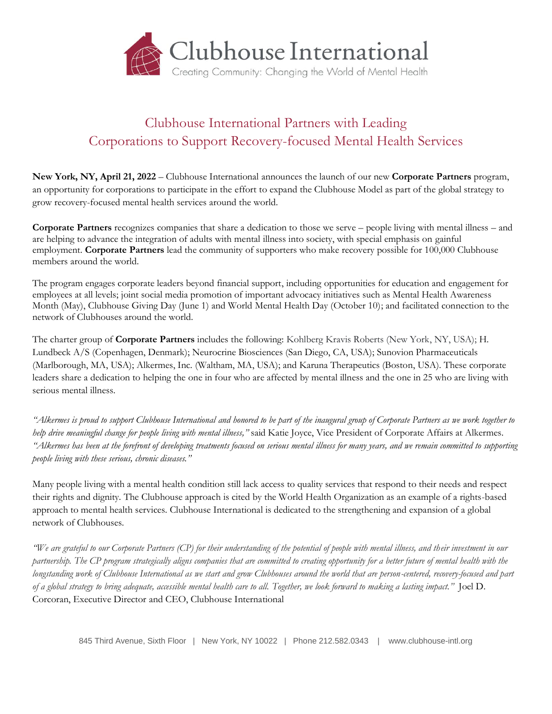

## Clubhouse International Partners with Leading Corporations to Support Recovery-focused Mental Health Services

**New York, NY, April 21, 2022** – Clubhouse International announces the launch of our new **Corporate Partners** program, an opportunity for corporations to participate in the effort to expand the Clubhouse Model as part of the global strategy to grow recovery-focused mental health services around the world.

**Corporate Partners** recognizes companies that share a dedication to those we serve – people living with mental illness – and are helping to advance the integration of adults with mental illness into society, with special emphasis on gainful employment. **Corporate Partners** lead the community of supporters who make recovery possible for 100,000 Clubhouse members around the world.

The program engages corporate leaders beyond financial support, including opportunities for education and engagement for employees at all levels; joint social media promotion of important advocacy initiatives such as Mental Health Awareness Month (May), Clubhouse Giving Day (June 1) and World Mental Health Day (October 10); and facilitated connection to the network of Clubhouses around the world.

The charter group of **Corporate Partners** includes the following: Kohlberg Kravis Roberts (New York, NY, USA); H. Lundbeck A/S (Copenhagen, Denmark); Neurocrine Biosciences (San Diego, CA, USA); Sunovion Pharmaceuticals (Marlborough, MA, USA); Alkermes, Inc. (Waltham, MA, USA); and Karuna Therapeutics (Boston, USA). These corporate leaders share a dedication to helping the one in four who are affected by mental illness and the one in 25 who are living with serious mental illness.

*"Alkermes is proud to support Clubhouse International and honored to be part of the inaugural group of Corporate Partners as we work together to help drive meaningful change for people living with mental illness,"* said Katie Joyce, Vice President of Corporate Affairs at Alkermes. *"Alkermes has been at the forefront of developing treatments focused on serious mental illness for many years, and we remain committed to supporting people living with these serious, chronic diseases."*

Many people living with a mental health condition still lack access to quality services that respond to their needs and respect their rights and dignity. The Clubhouse approach is cited by the World Health Organization as an example of a rights-based approach to mental health services. Clubhouse International is dedicated to the strengthening and expansion of a global network of Clubhouses.

*"We are grateful to our Corporate Partners (CP) for their understanding of the potential of people with mental illness, and their investment in our partnership. The CP program strategically aligns companies that are committed to creating opportunity for a better future of mental health with the longstanding work of Clubhouse International as we start and grow Clubhouses around the world that are person-centered, recovery-focused and part of a global strategy to bring adequate, accessible mental health care to all. Together, we look forward to making a lasting impact."* Joel D. Corcoran, Executive Director and CEO, Clubhouse International